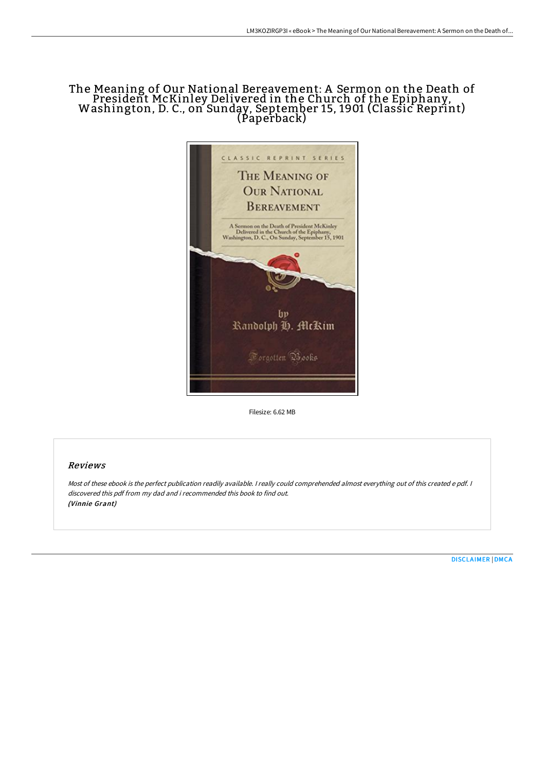# The Meaning of Our National Bereavement: A Sermon on the Death of President McKinley Delivered in the Church of the Epiphany, Washington, D. C., on Sunday, September 15, <sup>1901</sup> (Classic Reprint) (Paperback)



Filesize: 6.62 MB

## Reviews

Most of these ebook is the perfect publication readily available. <sup>I</sup> really could comprehended almost everything out of this created <sup>e</sup> pdf. <sup>I</sup> discovered this pdf from my dad and i recommended this book to find out. (Vinnie Grant)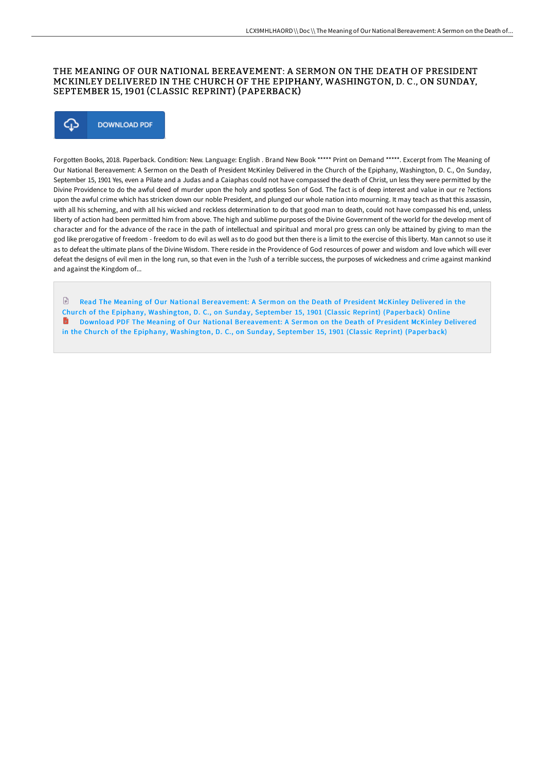### THE MEANING OF OUR NATIONAL BEREAVEMENT: A SERMON ON THE DEATH OF PRESIDENT MCKINLEY DELIVERED IN THE CHURCH OF THE EPIPHANY, WASHINGTON, D. C., ON SUNDAY, SEPTEMBER 15, 1901 (CLASSIC REPRINT) (PAPERBACK)



Forgotten Books, 2018. Paperback. Condition: New. Language: English . Brand New Book \*\*\*\*\* Print on Demand \*\*\*\*\*. Excerpt from The Meaning of Our National Bereavement: A Sermon on the Death of President McKinley Delivered in the Church of the Epiphany, Washington, D. C., On Sunday, September 15, 1901 Yes, even a Pilate and a Judas and a Caiaphas could not have compassed the death of Christ, un less they were permitted by the Divine Providence to do the awful deed of murder upon the holy and spotless Son of God. The fact is of deep interest and value in our re ?ections upon the awful crime which has stricken down our noble President, and plunged our whole nation into mourning. It may teach as that this assassin, with all his scheming, and with all his wicked and reckless determination to do that good man to death, could not have compassed his end, unless liberty of action had been permitted him from above. The high and sublime purposes of the Divine Government of the world for the develop ment of character and for the advance of the race in the path of intellectual and spiritual and moral pro gress can only be attained by giving to man the god like prerogative of freedom - freedom to do evil as well as to do good but then there is a limit to the exercise of this liberty. Man cannot so use it as to defeat the ultimate plans of the Divine Wisdom. There reside in the Providence of God resources of power and wisdom and love which will ever defeat the designs of evil men in the long run, so that even in the ?ush of a terrible success, the purposes of wickedness and crime against mankind and against the Kingdom of...

 $\mathbb{R}$ Read The Meaning of Our National [Bereavement:](http://bookera.tech/the-meaning-of-our-national-bereavement-a-sermon.html) A Sermon on the Death of President McKinley Delivered in the Chur ch of the Epiphany, Washington, D. C., on Sunday, September 15, 1901 (Classic Reprint) (Paperback) Online Download PDF The Meaning of Our National [Bereavement:](http://bookera.tech/the-meaning-of-our-national-bereavement-a-sermon.html) A Sermon on the Death of President McKinley Delivered in the Church of the Epiphany, Washington, D. C., on Sunday, September 15, 1901 (Classic Reprint) (Paperback)